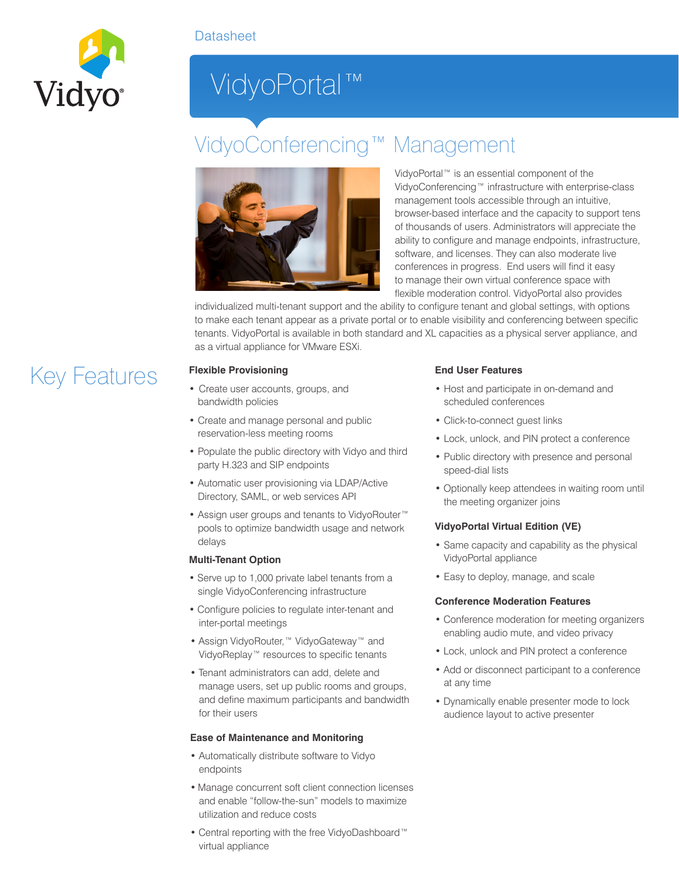

# VidyoPortal™

# VidyoConferencing™ Management



VidyoPortal™ is an essential component of the VidyoConferencing™ infrastructure with enterprise-class management tools accessible through an intuitive, browser-based interface and the capacity to support tens of thousands of users. Administrators will appreciate the ability to configure and manage endpoints, infrastructure, software, and licenses. They can also moderate live conferences in progress. End users will find it easy to manage their own virtual conference space with flexible moderation control. VidyoPortal also provides

individualized multi-tenant support and the ability to configure tenant and global settings, with options to make each tenant appear as a private portal or to enable visibility and conferencing between specific tenants. VidyoPortal is available in both standard and XL capacities as a physical server appliance, and as a virtual appliance for VMware ESXi.

- Create user accounts, groups, and bandwidth policies
- Create and manage personal and public reservation-less meeting rooms
- Populate the public directory with Vidyo and third party H.323 and SIP endpoints
- Automatic user provisioning via LDAP/Active Directory, SAML, or web services API
- Assign user groups and tenants to VidyoRouter™ pools to optimize bandwidth usage and network delays

#### **Multi-Tenant Option**

- Serve up to 1,000 private label tenants from a single VidyoConferencing infrastructure
- Configure policies to regulate inter-tenant and inter-portal meetings
- Assign VidyoRouter,™ VidyoGateway™ and VidyoReplay™ resources to specific tenants
- Tenant administrators can add, delete and manage users, set up public rooms and groups, and define maximum participants and bandwidth for their users

#### **Ease of Maintenance and Monitoring**

- Automatically distribute software to Vidyo endpoints
- Manage concurrent soft client connection licenses and enable "follow-the-sun" models to maximize utilization and reduce costs
- Central reporting with the free VidyoDashboard™ virtual appliance

### **End User Features**

- Host and participate in on-demand and scheduled conferences
- Click-to-connect guest links
- Lock, unlock, and PIN protect a conference
- Public directory with presence and personal speed-dial lists
- Optionally keep attendees in waiting room until the meeting organizer joins

#### **VidyoPortal Virtual Edition (VE)**

- Same capacity and capability as the physical VidyoPortal appliance
- Easy to deploy, manage, and scale

#### **Conference Moderation Features**

- Conference moderation for meeting organizers enabling audio mute, and video privacy
- Lock, unlock and PIN protect a conference
- Add or disconnect participant to a conference at any time
- Dynamically enable presenter mode to lock audience layout to active presenter

## Key Features **Flexible Provisioning**